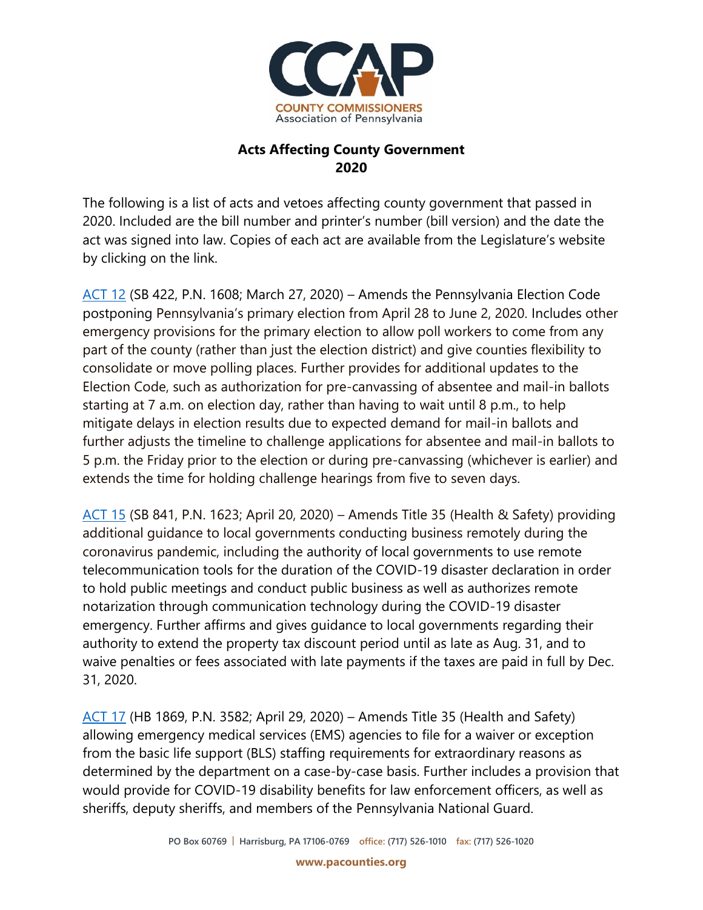

# **Acts Affecting County Government 2020**

The following is a list of acts and vetoes affecting county government that passed in 2020. Included are the bill number and printer's number (bill version) and the date the act was signed into law. Copies of each act are available from the Legislature's website by clicking on the link.

[ACT 12](https://www.legis.state.pa.us/cfdocs/billInfo/billInfo.cfm?sYear=2019&sInd=0&body=S&type=B&bn=0422) (SB 422, P.N. 1608; March 27, 2020) – Amends the Pennsylvania Election Code postponing Pennsylvania's primary election from April 28 to June 2, 2020. Includes other emergency provisions for the primary election to allow poll workers to come from any part of the county (rather than just the election district) and give counties flexibility to consolidate or move polling places. Further provides for additional updates to the Election Code, such as authorization for pre-canvassing of absentee and mail-in ballots starting at 7 a.m. on election day, rather than having to wait until 8 p.m., to help mitigate delays in election results due to expected demand for mail-in ballots and further adjusts the timeline to challenge applications for absentee and mail-in ballots to 5 p.m. the Friday prior to the election or during pre-canvassing (whichever is earlier) and extends the time for holding challenge hearings from five to seven days.

[ACT 15](https://www.legis.state.pa.us/cfdocs/billInfo/billInfo.cfm?sYear=2019&sInd=0&body=S&type=B&bn=0841) (SB 841, P.N. 1623; April 20, 2020) – Amends Title 35 (Health & Safety) providing additional guidance to local governments conducting business remotely during the coronavirus pandemic, including the authority of local governments to use remote telecommunication tools for the duration of the COVID-19 disaster declaration in order to hold public meetings and conduct public business as well as authorizes remote notarization through communication technology during the COVID-19 disaster emergency. Further affirms and gives guidance to local governments regarding their authority to extend the property tax discount period until as late as Aug. 31, and to waive penalties or fees associated with late payments if the taxes are paid in full by Dec. 31, 2020.

[ACT 17](https://www.legis.state.pa.us/cfdocs/billInfo/billInfo.cfm?sYear=2019&sInd=0&body=H&type=B&bn=1869) (HB 1869, P.N. 3582; April 29, 2020) – Amends Title 35 (Health and Safety) allowing emergency medical services (EMS) agencies to file for a waiver or exception from the basic life support (BLS) staffing requirements for extraordinary reasons as determined by the department on a case-by-case basis. Further includes a provision that would provide for COVID-19 disability benefits for law enforcement officers, as well as sheriffs, deputy sheriffs, and members of the Pennsylvania National Guard.

**PO Box 60769 | Harrisburg, PA 17106-0769 office: (717) 526-1010 fax: (717) 526-1020**

**www.pacounties.org**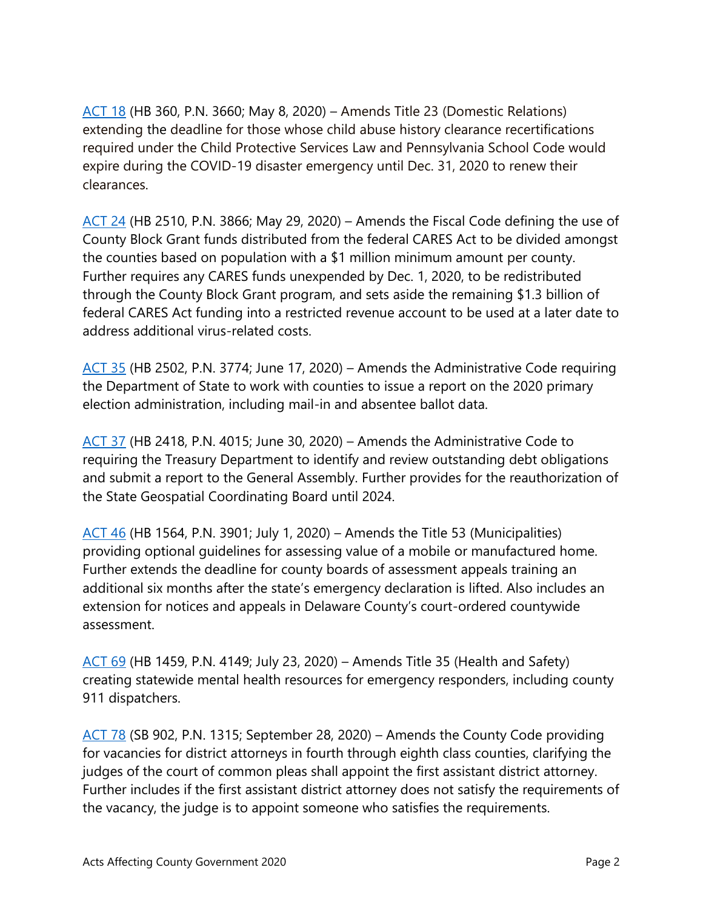[ACT 18](https://www.legis.state.pa.us/cfdocs/billInfo/billInfo.cfm?sYear=2019&sInd=0&body=H&type=B&bn=0360) (HB 360, P.N. 3660; May 8, 2020) – Amends Title 23 (Domestic Relations) extending the deadline for those whose child abuse history clearance recertifications required under the Child Protective Services Law and Pennsylvania School Code would expire during the COVID-19 disaster emergency until Dec. 31, 2020 to renew their clearances.

[ACT 24](https://www.legis.state.pa.us/cfdocs/billInfo/billInfo.cfm?sYear=2019&sInd=0&body=H&type=B&bn=2510) (HB 2510, P.N. 3866; May 29, 2020) – Amends the Fiscal Code defining the use of County Block Grant funds distributed from the federal CARES Act to be divided amongst the counties based on population with a \$1 million minimum amount per county. Further requires any CARES funds unexpended by Dec. 1, 2020, to be redistributed through the County Block Grant program, and sets aside the remaining \$1.3 billion of federal CARES Act funding into a restricted revenue account to be used at a later date to address additional virus-related costs.

[ACT 35](https://www.legis.state.pa.us/cfdocs/billInfo/billInfo.cfm?sYear=2019&sInd=0&body=H&type=B&bn=2502) (HB 2502, P.N. 3774; June 17, 2020) – Amends the Administrative Code requiring the Department of State to work with counties to issue a report on the 2020 primary election administration, including mail-in and absentee ballot data.

[ACT 37](https://www.legis.state.pa.us/cfdocs/billInfo/billInfo.cfm?sYear=2019&sInd=0&body=H&type=B&bn=2418) (HB 2418, P.N. 4015; June 30, 2020) – Amends the Administrative Code to requiring the Treasury Department to identify and review outstanding debt obligations and submit a report to the General Assembly. Further provides for the reauthorization of the State Geospatial Coordinating Board until 2024.

[ACT 46](https://www.legis.state.pa.us/cfdocs/billInfo/billInfo.cfm?sYear=2019&sInd=0&body=H&type=B&bn=1564) (HB 1564, P.N. 3901; July 1, 2020) – Amends the Title 53 (Municipalities) providing optional guidelines for assessing value of a mobile or manufactured home. Further extends the deadline for county boards of assessment appeals training an additional six months after the state's emergency declaration is lifted. Also includes an extension for notices and appeals in Delaware County's court-ordered countywide assessment.

[ACT 69](https://www.legis.state.pa.us/cfdocs/billInfo/billInfo.cfm?sYear=2019&sInd=0&body=H&type=B&bn=1459) (HB 1459, P.N. 4149; July 23, 2020) – Amends Title 35 (Health and Safety) creating statewide mental health resources for emergency responders, including county 911 dispatchers.

[ACT 78](https://www.legis.state.pa.us/cfdocs/billInfo/billInfo.cfm?sYear=2019&sInd=0&body=S&type=B&bn=0902) (SB 902, P.N. 1315; September 28, 2020) – Amends the County Code providing for vacancies for district attorneys in fourth through eighth class counties, clarifying the judges of the court of common pleas shall appoint the first assistant district attorney. Further includes if the first assistant district attorney does not satisfy the requirements of the vacancy, the judge is to appoint someone who satisfies the requirements.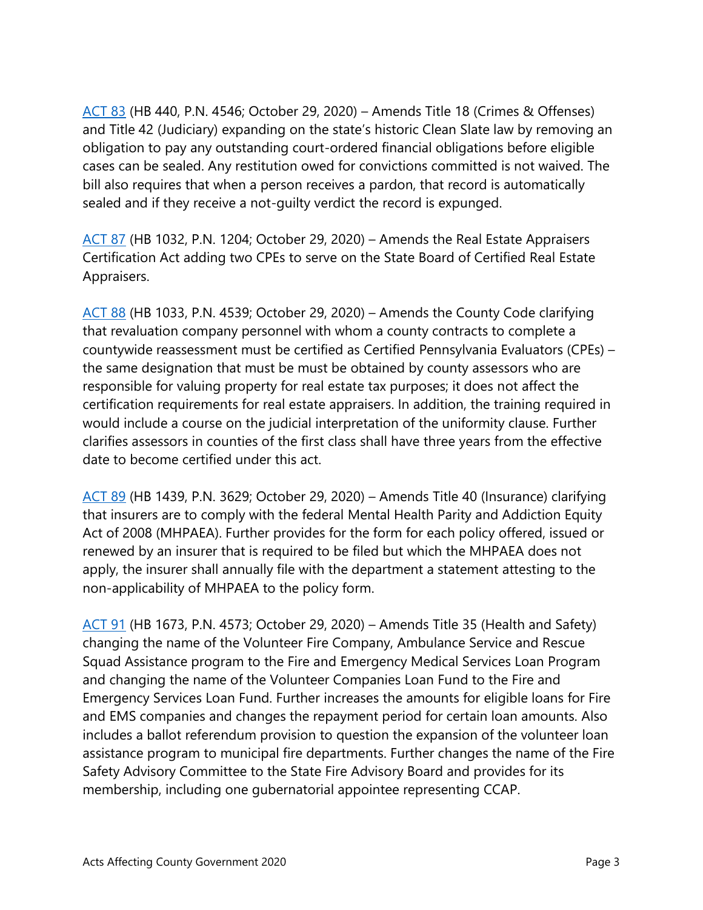[ACT 83](https://www.legis.state.pa.us/cfdocs/billInfo/billInfo.cfm?sYear=2019&sInd=0&body=H&type=B&bn=0440) (HB 440, P.N. 4546; October 29, 2020) – Amends Title 18 (Crimes & Offenses) and Title 42 (Judiciary) expanding on the state's historic Clean Slate law by removing an obligation to pay any outstanding court-ordered financial obligations before eligible cases can be sealed. Any restitution owed for convictions committed is not waived. The bill also requires that when a person receives a pardon, that record is automatically sealed and if they receive a not-guilty verdict the record is expunged.

[ACT 87](https://www.legis.state.pa.us/cfdocs/billInfo/billInfo.cfm?sYear=2019&sInd=0&body=H&type=B&bn=1032) (HB 1032, P.N. 1204; October 29, 2020) – Amends the Real Estate Appraisers Certification Act adding two CPEs to serve on the State Board of Certified Real Estate Appraisers.

[ACT 88](https://www.legis.state.pa.us/cfdocs/billInfo/billInfo.cfm?sYear=2019&sInd=0&body=H&type=B&bn=1033) (HB 1033, P.N. 4539; October 29, 2020) – Amends the County Code clarifying that revaluation company personnel with whom a county contracts to complete a countywide reassessment must be certified as Certified Pennsylvania Evaluators (CPEs) – the same designation that must be must be obtained by county assessors who are responsible for valuing property for real estate tax purposes; it does not affect the certification requirements for real estate appraisers. In addition, the training required in would include a course on the judicial interpretation of the uniformity clause. Further clarifies assessors in counties of the first class shall have three years from the effective date to become certified under this act.

[ACT 89](https://www.legis.state.pa.us/cfdocs/billInfo/billInfo.cfm?sYear=2019&sInd=0&body=H&type=B&bn=1439) (HB 1439, P.N. 3629; October 29, 2020) – Amends Title 40 (Insurance) clarifying that insurers are to comply with the federal Mental Health Parity and Addiction Equity Act of 2008 (MHPAEA). Further provides for the form for each policy offered, issued or renewed by an insurer that is required to be filed but which the MHPAEA does not apply, the insurer shall annually file with the department a statement attesting to the non-applicability of MHPAEA to the policy form.

[ACT 91](https://www.legis.state.pa.us/cfdocs/billInfo/billInfo.cfm?sYear=2019&sInd=0&body=H&type=B&bn=1673) (HB 1673, P.N. 4573; October 29, 2020) – Amends Title 35 (Health and Safety) changing the name of the Volunteer Fire Company, Ambulance Service and Rescue Squad Assistance program to the Fire and Emergency Medical Services Loan Program and changing the name of the Volunteer Companies Loan Fund to the Fire and Emergency Services Loan Fund. Further increases the amounts for eligible loans for Fire and EMS companies and changes the repayment period for certain loan amounts. Also includes a ballot referendum provision to question the expansion of the volunteer loan assistance program to municipal fire departments. Further changes the name of the Fire Safety Advisory Committee to the State Fire Advisory Board and provides for its membership, including one gubernatorial appointee representing CCAP.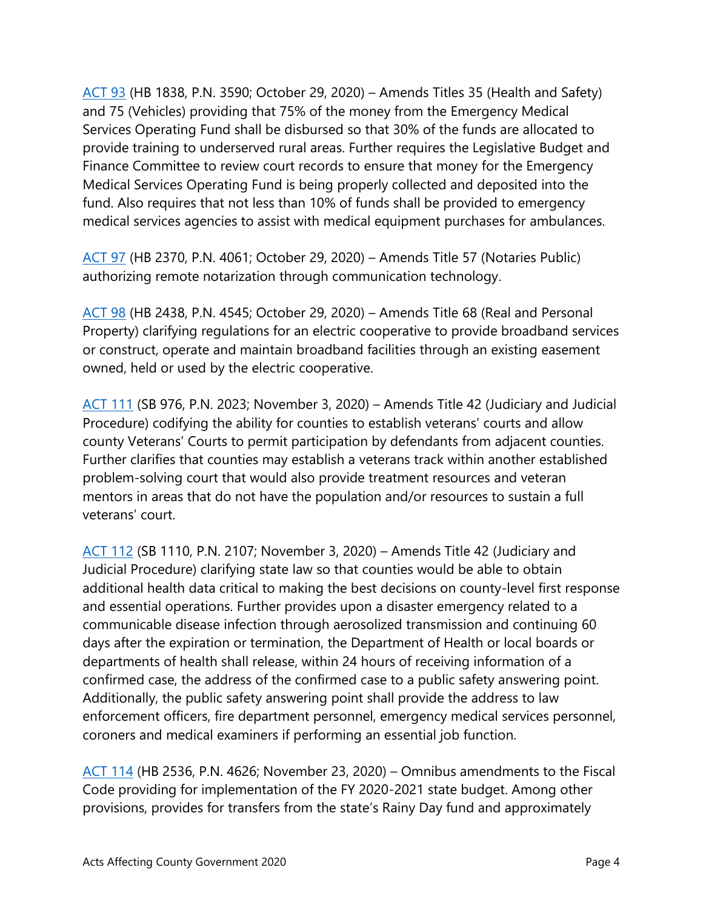[ACT 93](https://www.legis.state.pa.us/cfdocs/billInfo/billInfo.cfm?sYear=2019&sInd=0&body=H&type=B&bn=1838) (HB 1838, P.N. 3590; October 29, 2020) – Amends Titles 35 (Health and Safety) and 75 (Vehicles) providing that 75% of the money from the Emergency Medical Services Operating Fund shall be disbursed so that 30% of the funds are allocated to provide training to underserved rural areas. Further requires the Legislative Budget and Finance Committee to review court records to ensure that money for the Emergency Medical Services Operating Fund is being properly collected and deposited into the fund. Also requires that not less than 10% of funds shall be provided to emergency medical services agencies to assist with medical equipment purchases for ambulances.

[ACT 97](https://www.legis.state.pa.us/cfdocs/billInfo/billInfo.cfm?sYear=2019&sInd=0&body=H&type=B&bn=2370) (HB 2370, P.N. 4061; October 29, 2020) – Amends Title 57 (Notaries Public) authorizing remote notarization through communication technology.

[ACT 98](https://www.legis.state.pa.us/cfdocs/billInfo/billInfo.cfm?sYear=2019&sInd=0&body=H&type=B&bn=2438) (HB 2438, P.N. 4545; October 29, 2020) – Amends Title 68 (Real and Personal Property) clarifying regulations for an electric cooperative to provide broadband services or construct, operate and maintain broadband facilities through an existing easement owned, held or used by the electric cooperative.

[ACT 111](https://www.legis.state.pa.us/cfdocs/billInfo/billInfo.cfm?sYear=2019&sInd=0&body=S&type=B&bn=0976) (SB 976, P.N. 2023; November 3, 2020) – Amends Title 42 (Judiciary and Judicial Procedure) codifying the ability for counties to establish veterans' courts and allow county Veterans' Courts to permit participation by defendants from adjacent counties. Further clarifies that counties may establish a veterans track within another established problem-solving court that would also provide treatment resources and veteran mentors in areas that do not have the population and/or resources to sustain a full veterans' court.

[ACT 112](https://www.legis.state.pa.us/cfdocs/billInfo/billInfo.cfm?sYear=2019&sInd=0&body=S&type=B&bn=1110) (SB 1110, P.N. 2107; November 3, 2020) – Amends Title 42 (Judiciary and Judicial Procedure) clarifying state law so that counties would be able to obtain additional health data critical to making the best decisions on county-level first response and essential operations. Further provides upon a disaster emergency related to a communicable disease infection through aerosolized transmission and continuing 60 days after the expiration or termination, the Department of Health or local boards or departments of health shall release, within 24 hours of receiving information of a confirmed case, the address of the confirmed case to a public safety answering point. Additionally, the public safety answering point shall provide the address to law enforcement officers, fire department personnel, emergency medical services personnel, coroners and medical examiners if performing an essential job function.

[ACT 114](https://www.legis.state.pa.us/cfdocs/billInfo/billInfo.cfm?sYear=2019&sInd=0&body=H&type=B&bn=2536) (HB 2536, P.N. 4626; November 23, 2020) – Omnibus amendments to the Fiscal Code providing for implementation of the FY 2020-2021 state budget. Among other provisions, provides for transfers from the state's Rainy Day fund and approximately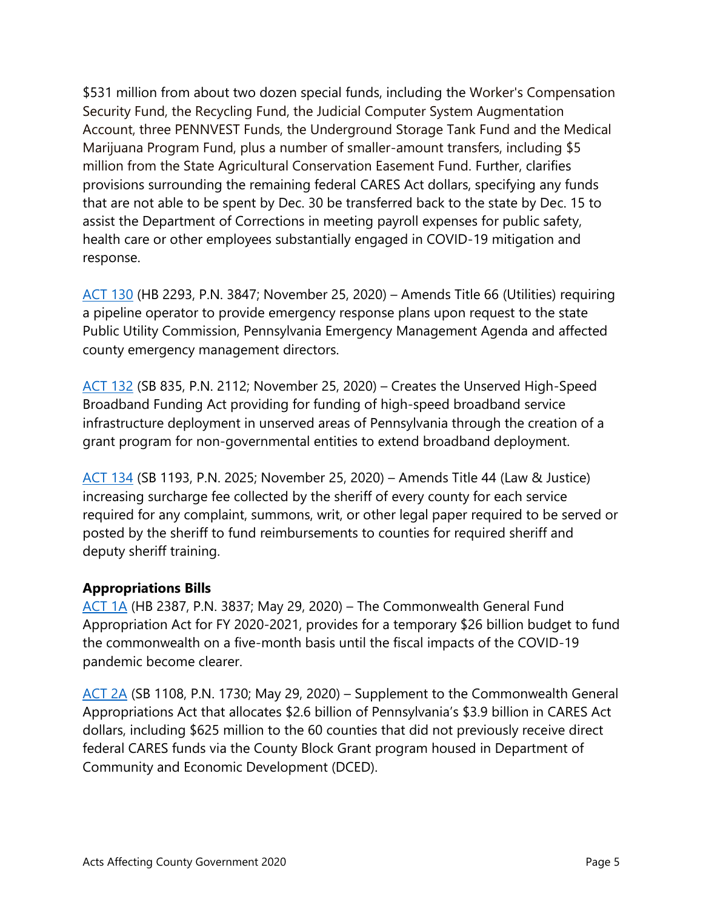\$531 million from about two dozen special funds, including the Worker's Compensation Security Fund, the Recycling Fund, the Judicial Computer System Augmentation Account, three PENNVEST Funds, the Underground Storage Tank Fund and the Medical Marijuana Program Fund, plus a number of smaller-amount transfers, including \$5 million from the State Agricultural Conservation Easement Fund. Further, clarifies provisions surrounding the remaining federal CARES Act dollars, specifying any funds that are not able to be spent by Dec. 30 be transferred back to the state by Dec. 15 to assist the Department of Corrections in meeting payroll expenses for public safety, health care or other employees substantially engaged in COVID-19 mitigation and response.

[ACT 130](https://www.legis.state.pa.us/cfdocs/billInfo/billInfo.cfm?sYear=2019&sInd=0&body=H&type=B&bn=2293) (HB 2293, P.N. 3847; November 25, 2020) – Amends Title 66 (Utilities) requiring a pipeline operator to provide emergency response plans upon request to the state Public Utility Commission, Pennsylvania Emergency Management Agenda and affected county emergency management directors.

[ACT 132](https://www.legis.state.pa.us/cfdocs/billInfo/billInfo.cfm?sYear=2019&sInd=0&body=S&type=B&bn=0835) (SB 835, P.N. 2112; November 25, 2020) – Creates the Unserved High-Speed Broadband Funding Act providing for funding of high-speed broadband service infrastructure deployment in unserved areas of Pennsylvania through the creation of a grant program for non-governmental entities to extend broadband deployment.

[ACT 134](https://www.legis.state.pa.us/cfdocs/billInfo/billInfo.cfm?sYear=2019&sInd=0&body=S&type=B&bn=1193) (SB 1193, P.N. 2025; November 25, 2020) – Amends Title 44 (Law & Justice) increasing surcharge fee collected by the sheriff of every county for each service required for any complaint, summons, writ, or other legal paper required to be served or posted by the sheriff to fund reimbursements to counties for required sheriff and deputy sheriff training.

## **Appropriations Bills**

[ACT 1A](https://www.legis.state.pa.us/cfdocs/billInfo/billInfo.cfm?sYear=2019&sInd=0&body=H&type=B&bn=2387) (HB 2387, P.N. 3837; May 29, 2020) – The Commonwealth General Fund Appropriation Act for FY 2020-2021, provides for a temporary \$26 billion budget to fund the commonwealth on a five-month basis until the fiscal impacts of the COVID-19 pandemic become clearer.

[ACT 2A](https://www.legis.state.pa.us/cfdocs/billInfo/billInfo.cfm?sYear=2019&sInd=0&body=S&type=B&bn=1108) (SB 1108, P.N. 1730; May 29, 2020) – Supplement to the Commonwealth General Appropriations Act that allocates \$2.6 billion of Pennsylvania's \$3.9 billion in CARES Act dollars, including \$625 million to the 60 counties that did not previously receive direct federal CARES funds via the County Block Grant program housed in Department of Community and Economic Development (DCED).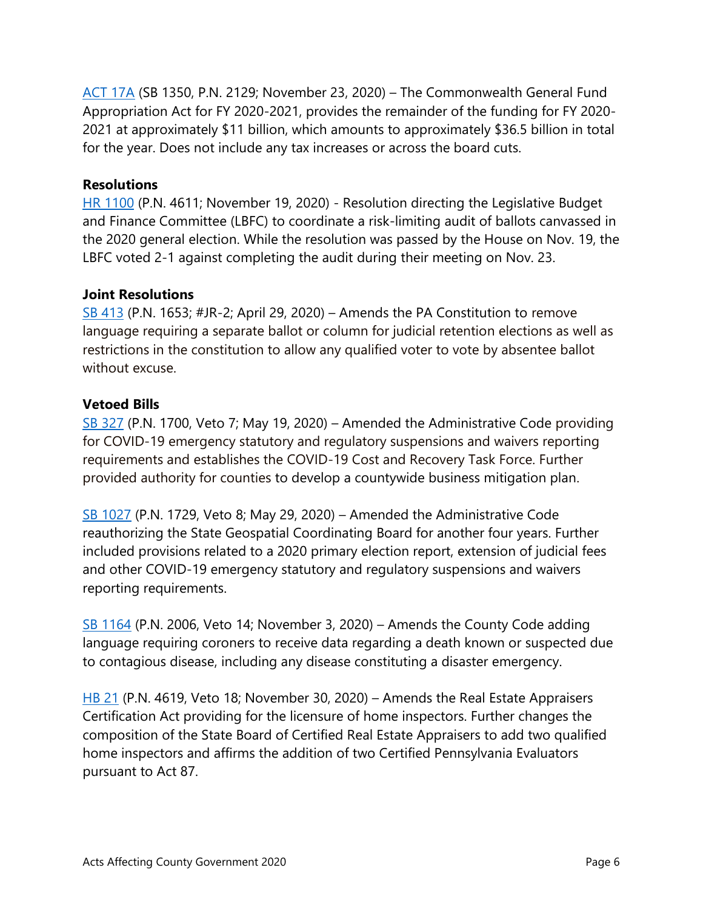[ACT 17A](https://www.legis.state.pa.us/cfdocs/billInfo/billInfo.cfm?sYear=2019&sInd=0&body=S&type=B&bn=1350) (SB 1350, P.N. 2129; November 23, 2020) – The Commonwealth General Fund Appropriation Act for FY 2020-2021, provides the remainder of the funding for FY 2020- 2021 at approximately \$11 billion, which amounts to approximately \$36.5 billion in total for the year. Does not include any tax increases or across the board cuts.

#### **Resolutions**

[HR 1100](https://www.legis.state.pa.us/cfdocs/billInfo/billInfo.cfm?sYear=2019&sInd=0&body=H&type=R&bn=1100) (P.N. 4611; November 19, 2020) - Resolution directing the Legislative Budget and Finance Committee (LBFC) to coordinate a risk-limiting audit of ballots canvassed in the 2020 general election. While the resolution was passed by the House on Nov. 19, the LBFC voted 2-1 against completing the audit during their meeting on Nov. 23.

#### **Joint Resolutions**

 $SB 413$  (P.N. 1653; #JR-2; April 29, 2020) – Amends the PA Constitution to remove</u> language requiring a separate ballot or column for judicial retention elections as well as restrictions in the constitution to allow any qualified voter to vote by absentee ballot without excuse.

### **Vetoed Bills**

[SB 327](https://www.legis.state.pa.us/cfdocs/billInfo/billInfo.cfm?sYear=2019&sInd=0&body=S&type=B&bn=0327) (P.N. 1700, Veto 7; May 19, 2020) – Amended the Administrative Code providing for COVID-19 emergency statutory and regulatory suspensions and waivers reporting requirements and establishes the COVID-19 Cost and Recovery Task Force. Further provided authority for counties to develop a countywide business mitigation plan.

[SB 1027](https://www.legis.state.pa.us/cfdocs/billInfo/billInfo.cfm?sYear=2019&sInd=0&body=S&type=B&bn=1027) (P.N. 1729, Veto 8; May 29, 2020) – Amended the Administrative Code reauthorizing the State Geospatial Coordinating Board for another four years. Further included provisions related to a 2020 primary election report, extension of judicial fees and other COVID-19 emergency statutory and regulatory suspensions and waivers reporting requirements.

[SB 1164](https://www.legis.state.pa.us/cfdocs/billInfo/billInfo.cfm?sYear=2019&sInd=0&body=S&type=B&bn=1164) (P.N. 2006, Veto 14; November 3, 2020) – Amends the County Code adding language requiring coroners to receive data regarding a death known or suspected due to contagious disease, including any disease constituting a disaster emergency.

[HB 21](https://www.legis.state.pa.us/cfdocs/billInfo/billInfo.cfm?sYear=2019&sInd=0&body=H&type=B&bn=0021) (P.N. 4619, Veto 18; November 30, 2020) – Amends the Real Estate Appraisers Certification Act providing for the licensure of home inspectors. Further changes the composition of the State Board of Certified Real Estate Appraisers to add two qualified home inspectors and affirms the addition of two Certified Pennsylvania Evaluators pursuant to Act 87.